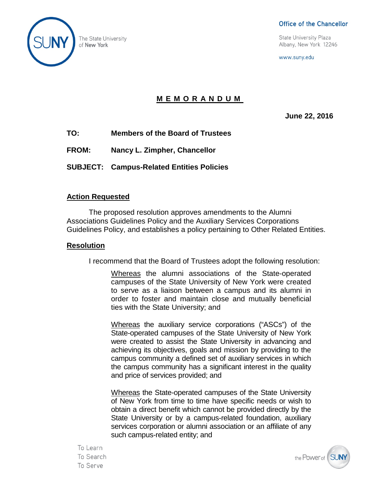

#### Office of the Chancellor

**State University Plaza** Albany, New York 12246

www.suny.edu

### **MEMORANDUM**

**June 22, 2016**

- **TO: Members of the Board of Trustees**
- **FROM: Nancy L. Zimpher, Chancellor**
- **SUBJECT: Campus-Related Entities Policies**

### **Action Requested**

The proposed resolution approves amendments to the Alumni Associations Guidelines Policy and the Auxiliary Services Corporations Guidelines Policy, and establishes a policy pertaining to Other Related Entities.

#### **Resolution**

I recommend that the Board of Trustees adopt the following resolution:

Whereas the alumni associations of the State-operated campuses of the State University of New York were created to serve as a liaison between a campus and its alumni in order to foster and maintain close and mutually beneficial ties with the State University; and

Whereas the auxiliary service corporations ("ASCs") of the State-operated campuses of the State University of New York were created to assist the State University in advancing and achieving its objectives, goals and mission by providing to the campus community a defined set of auxiliary services in which the campus community has a significant interest in the quality and price of services provided; and

Whereas the State-operated campuses of the State University of New York from time to time have specific needs or wish to obtain a direct benefit which cannot be provided directly by the State University or by a campus-related foundation, auxiliary services corporation or alumni association or an affiliate of any such campus-related entity; and

the Power of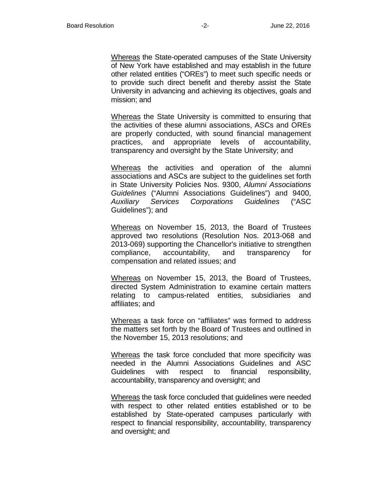Whereas the State-operated campuses of the State University of New York have established and may establish in the future other related entities ("OREs") to meet such specific needs or to provide such direct benefit and thereby assist the State University in advancing and achieving its objectives, goals and mission; and

Whereas the State University is committed to ensuring that the activities of these alumni associations, ASCs and OREs are properly conducted, with sound financial management practices, and appropriate levels of accountability, transparency and oversight by the State University; and

Whereas the activities and operation of the alumni associations and ASCs are subject to the guidelines set forth in State University Policies Nos. 9300, *Alumni Associations Guidelines* ("Alumni Associations Guidelines") and 9400, *Auxiliary Services Corporations Guidelines* ("ASC Guidelines"); and

Whereas on November 15, 2013, the Board of Trustees approved two resolutions (Resolution Nos. 2013-068 and 2013-069) supporting the Chancellor's initiative to strengthen compliance, accountability, and transparency for compensation and related issues; and

Whereas on November 15, 2013, the Board of Trustees, directed System Administration to examine certain matters relating to campus-related entities, subsidiaries and affiliates; and

Whereas a task force on "affiliates" was formed to address the matters set forth by the Board of Trustees and outlined in the November 15, 2013 resolutions; and

Whereas the task force concluded that more specificity was needed in the Alumni Associations Guidelines and ASC Guidelines with respect to financial responsibility, accountability, transparency and oversight; and

Whereas the task force concluded that guidelines were needed with respect to other related entities established or to be established by State-operated campuses particularly with respect to financial responsibility, accountability, transparency and oversight; and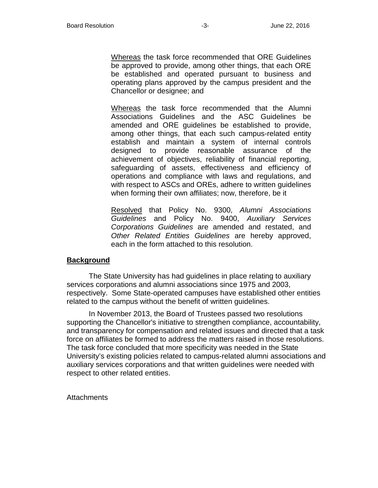Whereas the task force recommended that ORE Guidelines be approved to provide, among other things, that each ORE be established and operated pursuant to business and operating plans approved by the campus president and the Chancellor or designee; and

Whereas the task force recommended that the Alumni Associations Guidelines and the ASC Guidelines be amended and ORE guidelines be established to provide, among other things, that each such campus-related entity establish and maintain a system of internal controls designed to provide reasonable assurance of the achievement of objectives, reliability of financial reporting, safeguarding of assets, effectiveness and efficiency of operations and compliance with laws and regulations, and with respect to ASCs and OREs, adhere to written guidelines when forming their own affiliates; now, therefore, be it

Resolved that Policy No. 9300, *Alumni Associations Guidelines* and Policy No. 9400, *Auxiliary Services Corporations Guidelines* are amended and restated, and *Other Related Entities Guidelines* are hereby approved, each in the form attached to this resolution.

#### **Background**

The State University has had guidelines in place relating to auxiliary services corporations and alumni associations since 1975 and 2003, respectively. Some State-operated campuses have established other entities related to the campus without the benefit of written guidelines.

In November 2013, the Board of Trustees passed two resolutions supporting the Chancellor's initiative to strengthen compliance, accountability, and transparency for compensation and related issues and directed that a task force on affiliates be formed to address the matters raised in those resolutions. The task force concluded that more specificity was needed in the State University's existing policies related to campus-related alumni associations and auxiliary services corporations and that written guidelines were needed with respect to other related entities.

**Attachments**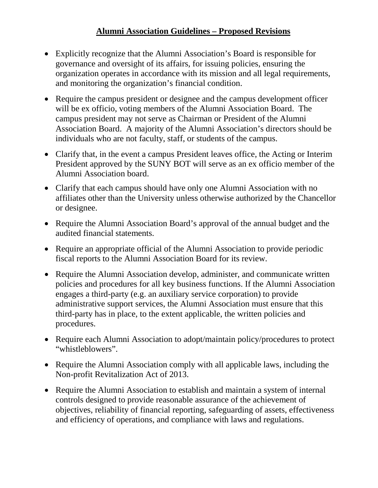## **Alumni Association Guidelines – Proposed Revisions**

- Explicitly recognize that the Alumni Association's Board is responsible for governance and oversight of its affairs, for issuing policies, ensuring the organization operates in accordance with its mission and all legal requirements, and monitoring the organization's financial condition.
- Require the campus president or designee and the campus development officer will be ex officio, voting members of the Alumni Association Board. The campus president may not serve as Chairman or President of the Alumni Association Board. A majority of the Alumni Association's directors should be individuals who are not faculty, staff, or students of the campus.
- Clarify that, in the event a campus President leaves office, the Acting or Interim President approved by the SUNY BOT will serve as an ex officio member of the Alumni Association board.
- Clarify that each campus should have only one Alumni Association with no affiliates other than the University unless otherwise authorized by the Chancellor or designee.
- Require the Alumni Association Board's approval of the annual budget and the audited financial statements.
- Require an appropriate official of the Alumni Association to provide periodic fiscal reports to the Alumni Association Board for its review.
- Require the Alumni Association develop, administer, and communicate written policies and procedures for all key business functions. If the Alumni Association engages a third-party (e.g. an auxiliary service corporation) to provide administrative support services, the Alumni Association must ensure that this third-party has in place, to the extent applicable, the written policies and procedures.
- Require each Alumni Association to adopt/maintain policy/procedures to protect "whistleblowers".
- Require the Alumni Association comply with all applicable laws, including the Non-profit Revitalization Act of 2013.
- Require the Alumni Association to establish and maintain a system of internal controls designed to provide reasonable assurance of the achievement of objectives, reliability of financial reporting, safeguarding of assets, effectiveness and efficiency of operations, and compliance with laws and regulations.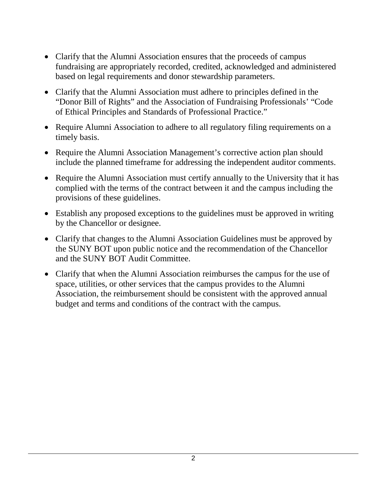- Clarify that the Alumni Association ensures that the proceeds of campus fundraising are appropriately recorded, credited, acknowledged and administered based on legal requirements and donor stewardship parameters.
- Clarify that the Alumni Association must adhere to principles defined in the "Donor Bill of Rights" and the Association of Fundraising Professionals' "Code of Ethical Principles and Standards of Professional Practice."
- Require Alumni Association to adhere to all regulatory filing requirements on a timely basis.
- Require the Alumni Association Management's corrective action plan should include the planned timeframe for addressing the independent auditor comments.
- Require the Alumni Association must certify annually to the University that it has complied with the terms of the contract between it and the campus including the provisions of these guidelines.
- Establish any proposed exceptions to the guidelines must be approved in writing by the Chancellor or designee.
- Clarify that changes to the Alumni Association Guidelines must be approved by the SUNY BOT upon public notice and the recommendation of the Chancellor and the SUNY BOT Audit Committee.
- Clarify that when the Alumni Association reimburses the campus for the use of space, utilities, or other services that the campus provides to the Alumni Association, the reimbursement should be consistent with the approved annual budget and terms and conditions of the contract with the campus.